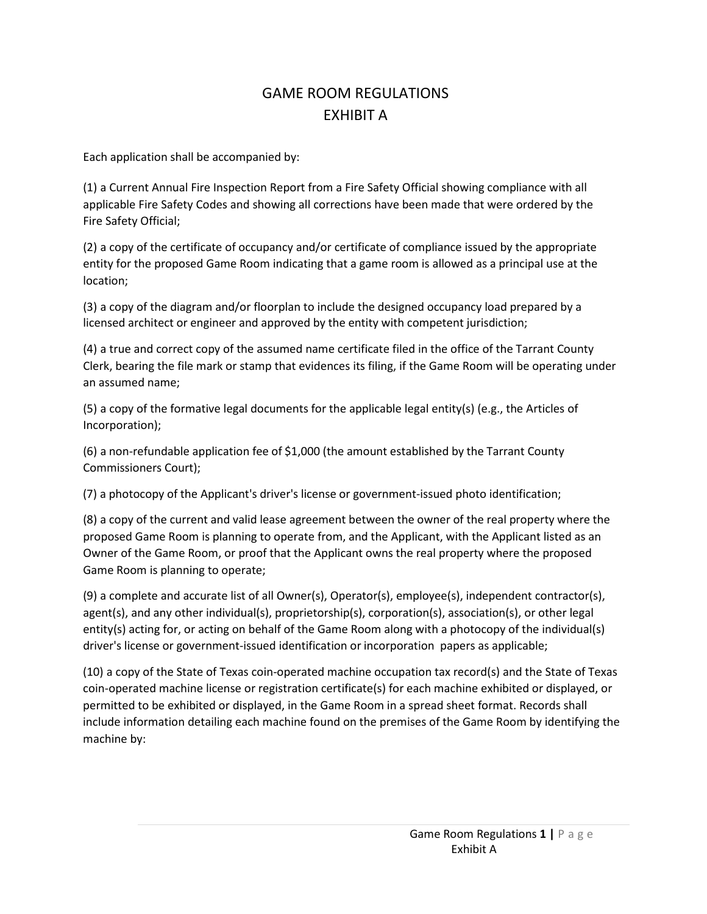## GAME ROOM REGULATIONS EXHIBIT A

Each application shall be accompanied by:

(1) a Current Annual Fire Inspection Report from a Fire Safety Official showing compliance with all applicable Fire Safety Codes and showing all corrections have been made that were ordered by the Fire Safety Official;

(2) a copy of the certificate of occupancy and/or certificate of compliance issued by the appropriate entity for the proposed Game Room indicating that a game room is allowed as a principal use at the location;

(3) a copy of the diagram and/or floorplan to include the designed occupancy load prepared by a licensed architect or engineer and approved by the entity with competent jurisdiction;

(4) a true and correct copy of the assumed name certificate filed in the office of the Tarrant County Clerk, bearing the file mark or stamp that evidences its filing, if the Game Room will be operating under an assumed name;

(5) a copy of the formative legal documents for the applicable legal entity(s) (e.g., the Articles of Incorporation);

(6) a non-refundable application fee of \$1,000 (the amount established by the Tarrant County Commissioners Court);

(7) a photocopy of the Applicant's driver's license or government-issued photo identification;

(8) a copy of the current and valid lease agreement between the owner of the real property where the proposed Game Room is planning to operate from, and the Applicant, with the Applicant listed as an Owner of the Game Room, or proof that the Applicant owns the real property where the proposed Game Room is planning to operate;

(9) a complete and accurate list of all Owner(s), Operator(s), employee(s), independent contractor(s), agent(s), and any other individual(s), proprietorship(s), corporation(s), association(s), or other legal entity(s) acting for, or acting on behalf of the Game Room along with a photocopy of the individual(s) driver's license or government-issued identification or incorporation papers as applicable;

(10) a copy of the State of Texas coin-operated machine occupation tax record(s) and the State of Texas coin-operated machine license or registration certificate(s) for each machine exhibited or displayed, or permitted to be exhibited or displayed, in the Game Room in a spread sheet format. Records shall include information detailing each machine found on the premises of the Game Room by identifying the machine by: